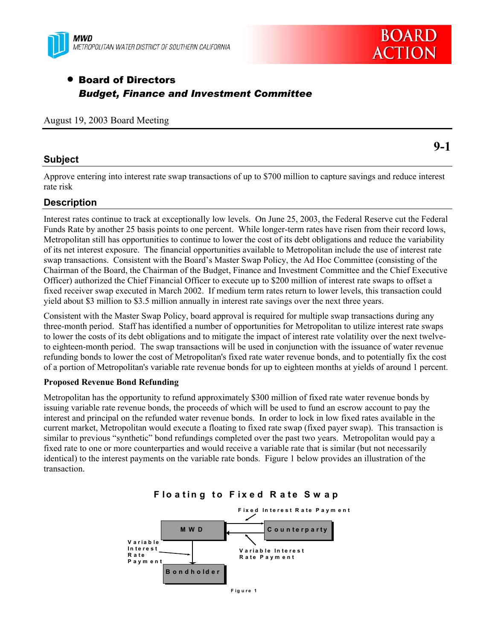



# • Board of Directors *Budget, Finance and Investment Committee*

|  |  |  |  | August 19, 2003 Board Meeting |
|--|--|--|--|-------------------------------|
|--|--|--|--|-------------------------------|

### **Subject**

Approve entering into interest rate swap transactions of up to \$700 million to capture savings and reduce interest rate risk

# **Description**

Interest rates continue to track at exceptionally low levels. On June 25, 2003, the Federal Reserve cut the Federal Funds Rate by another 25 basis points to one percent. While longer-term rates have risen from their record lows, Metropolitan still has opportunities to continue to lower the cost of its debt obligations and reduce the variability of its net interest exposure. The financial opportunities available to Metropolitan include the use of interest rate swap transactions. Consistent with the Board's Master Swap Policy, the Ad Hoc Committee (consisting of the Chairman of the Board, the Chairman of the Budget, Finance and Investment Committee and the Chief Executive Officer) authorized the Chief Financial Officer to execute up to \$200 million of interest rate swaps to offset a fixed receiver swap executed in March 2002. If medium term rates return to lower levels, this transaction could yield about \$3 million to \$3.5 million annually in interest rate savings over the next three years.

Consistent with the Master Swap Policy, board approval is required for multiple swap transactions during any three-month period. Staff has identified a number of opportunities for Metropolitan to utilize interest rate swaps to lower the costs of its debt obligations and to mitigate the impact of interest rate volatility over the next twelveto eighteen-month period. The swap transactions will be used in conjunction with the issuance of water revenue refunding bonds to lower the cost of Metropolitan's fixed rate water revenue bonds, and to potentially fix the cost of a portion of Metropolitan's variable rate revenue bonds for up to eighteen months at yields of around 1 percent.

### **Proposed Revenue Bond Refunding**

Metropolitan has the opportunity to refund approximately \$300 million of fixed rate water revenue bonds by issuing variable rate revenue bonds, the proceeds of which will be used to fund an escrow account to pay the interest and principal on the refunded water revenue bonds. In order to lock in low fixed rates available in the current market, Metropolitan would execute a floating to fixed rate swap (fixed payer swap). This transaction is similar to previous "synthetic" bond refundings completed over the past two years. Metropolitan would pay a fixed rate to one or more counterparties and would receive a variable rate that is similar (but not necessarily identical) to the interest payments on the variable rate bonds. Figure 1 below provides an illustration of the transaction.





**9-1**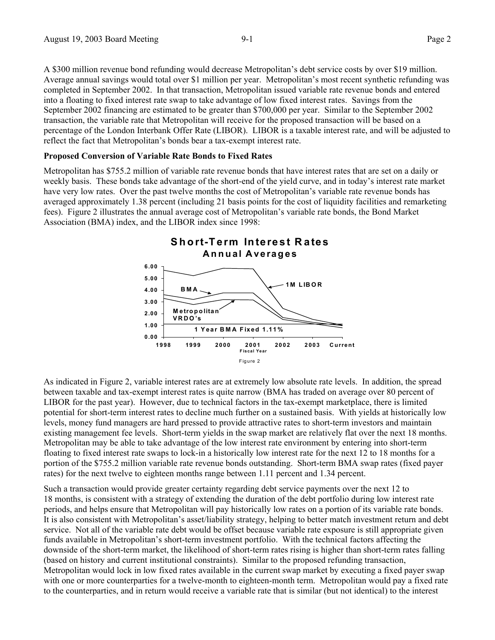A \$300 million revenue bond refunding would decrease Metropolitan's debt service costs by over \$19 million. Average annual savings would total over \$1 million per year. Metropolitan's most recent synthetic refunding was completed in September 2002. In that transaction, Metropolitan issued variable rate revenue bonds and entered into a floating to fixed interest rate swap to take advantage of low fixed interest rates. Savings from the September 2002 financing are estimated to be greater than \$700,000 per year. Similar to the September 2002 transaction, the variable rate that Metropolitan will receive for the proposed transaction will be based on a percentage of the London Interbank Offer Rate (LIBOR). LIBOR is a taxable interest rate, and will be adjusted to reflect the fact that Metropolitan's bonds bear a tax-exempt interest rate.

#### **Proposed Conversion of Variable Rate Bonds to Fixed Rates**

Metropolitan has \$755.2 million of variable rate revenue bonds that have interest rates that are set on a daily or weekly basis. These bonds take advantage of the short-end of the yield curve, and in today's interest rate market have very low rates. Over the past twelve months the cost of Metropolitan's variable rate revenue bonds has averaged approximately 1.38 percent (including 21 basis points for the cost of liquidity facilities and remarketing fees). Figure 2 illustrates the annual average cost of Metropolitan's variable rate bonds, the Bond Market Association (BMA) index, and the LIBOR index since 1998:



As indicated in Figure 2, variable interest rates are at extremely low absolute rate levels. In addition, the spread between taxable and tax-exempt interest rates is quite narrow (BMA has traded on average over 80 percent of LIBOR for the past year). However, due to technical factors in the tax-exempt marketplace, there is limited potential for short-term interest rates to decline much further on a sustained basis. With yields at historically low levels, money fund managers are hard pressed to provide attractive rates to short-term investors and maintain existing management fee levels. Short-term yields in the swap market are relatively flat over the next 18 months. Metropolitan may be able to take advantage of the low interest rate environment by entering into short-term floating to fixed interest rate swaps to lock-in a historically low interest rate for the next 12 to 18 months for a portion of the \$755.2 million variable rate revenue bonds outstanding. Short-term BMA swap rates (fixed payer rates) for the next twelve to eighteen months range between 1.11 percent and 1.34 percent.

Such a transaction would provide greater certainty regarding debt service payments over the next 12 to 18 months, is consistent with a strategy of extending the duration of the debt portfolio during low interest rate periods, and helps ensure that Metropolitan will pay historically low rates on a portion of its variable rate bonds. It is also consistent with Metropolitan's asset/liability strategy, helping to better match investment return and debt service. Not all of the variable rate debt would be offset because variable rate exposure is still appropriate given funds available in Metropolitan's short-term investment portfolio. With the technical factors affecting the downside of the short-term market, the likelihood of short-term rates rising is higher than short-term rates falling (based on history and current institutional constraints). Similar to the proposed refunding transaction, Metropolitan would lock in low fixed rates available in the current swap market by executing a fixed payer swap with one or more counterparties for a twelve-month to eighteen-month term. Metropolitan would pay a fixed rate to the counterparties, and in return would receive a variable rate that is similar (but not identical) to the interest